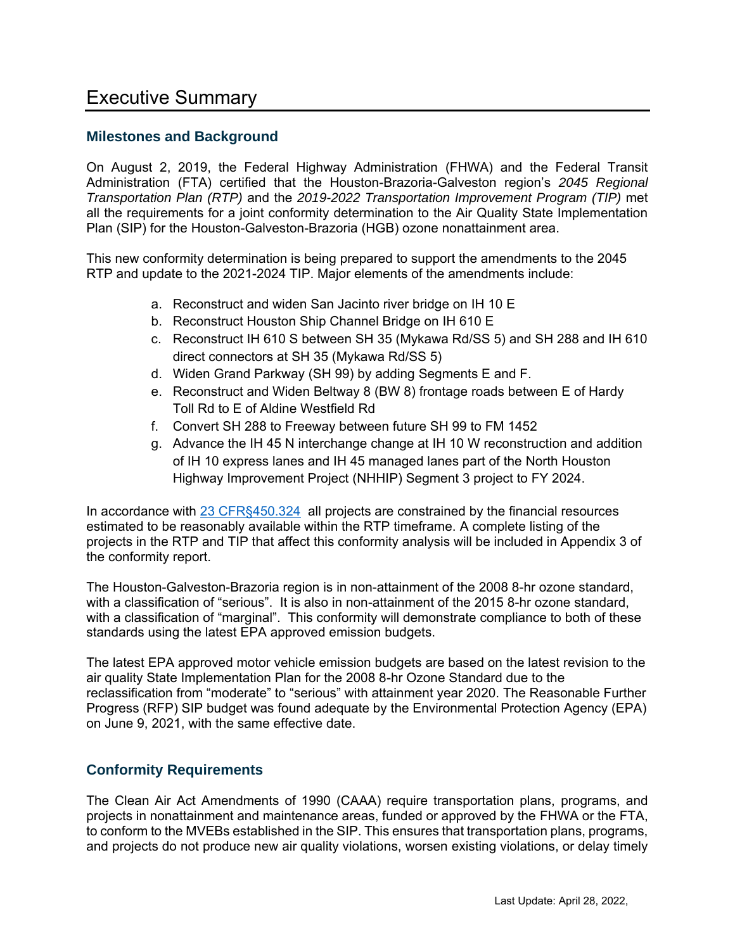# Executive Summary

## **Milestones and Background**

On August 2, 2019, the Federal Highway Administration (FHWA) and the Federal Transit Administration (FTA) certified that the Houston-Brazoria-Galveston region's *2045 Regional Transportation Plan (RTP)* and the *2019-2022 Transportation Improvement Program (TIP)* met all the requirements for a joint conformity determination to the Air Quality State Implementation Plan (SIP) for the Houston-Galveston-Brazoria (HGB) ozone nonattainment area.

This new conformity determination is being prepared to support the amendments to the 2045 RTP and update to the 2021-2024 TIP. Major elements of the amendments include:

- a. Reconstruct and widen San Jacinto river bridge on IH 10 E
- b. Reconstruct Houston Ship Channel Bridge on IH 610 E
- c. Reconstruct IH 610 S between SH 35 (Mykawa Rd/SS 5) and SH 288 and IH 610 direct connectors at SH 35 (Mykawa Rd/SS 5)
- d. Widen Grand Parkway (SH 99) by adding Segments E and F.
- e. Reconstruct and Widen Beltway 8 (BW 8) frontage roads between E of Hardy Toll Rd to E of Aldine Westfield Rd
- f. Convert SH 288 to Freeway between future SH 99 to FM 1452
- g. Advance the IH 45 N interchange change at IH 10 W reconstruction and addition of IH 10 express lanes and IH 45 managed lanes part of the North Houston Highway Improvement Project (NHHIP) Segment 3 project to FY 2024.

In accordance with [23 CFR§450.324](https://www.ecfr.gov/cgi-bin/text-idx?rgn=div5&node=23:1.0.1.5.11#se23.1.450_1324) all projects are constrained by the financial resources estimated to be reasonably available within the RTP timeframe. A complete listing of the projects in the RTP and TIP that affect this conformity analysis will be included in Appendix 3 of the conformity report.

The Houston-Galveston-Brazoria region is in non-attainment of the 2008 8-hr ozone standard, with a classification of "serious". It is also in non-attainment of the 2015 8-hr ozone standard, with a classification of "marginal". This conformity will demonstrate compliance to both of these standards using the latest EPA approved emission budgets.

The latest EPA approved motor vehicle emission budgets are based on the latest revision to the air quality State Implementation Plan for the 2008 8-hr Ozone Standard due to the reclassification from "moderate" to "serious" with attainment year 2020. The Reasonable Further Progress (RFP) SIP budget was found adequate by the Environmental Protection Agency (EPA) on June 9, 2021, with the same effective date.

## **Conformity Requirements**

The Clean Air Act Amendments of 1990 (CAAA) require transportation plans, programs, and projects in nonattainment and maintenance areas, funded or approved by the FHWA or the FTA, to conform to the MVEBs established in the SIP. This ensures that transportation plans, programs, and projects do not produce new air quality violations, worsen existing violations, or delay timely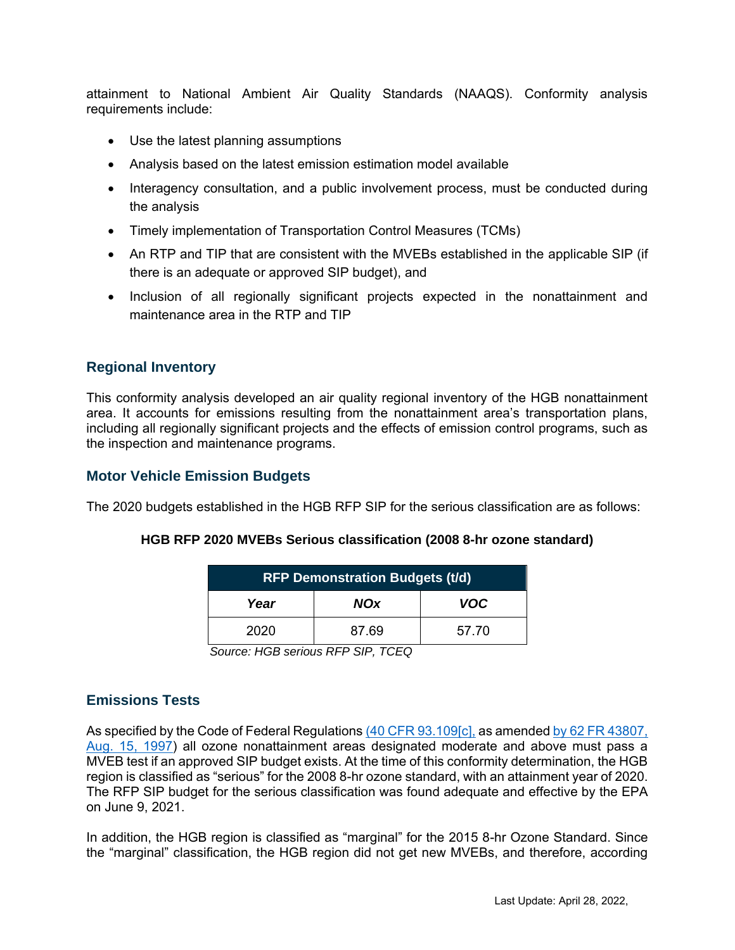attainment to National Ambient Air Quality Standards (NAAQS). Conformity analysis requirements include:

- Use the latest planning assumptions
- Analysis based on the latest emission estimation model available
- Interagency consultation, and a public involvement process, must be conducted during the analysis
- Timely implementation of Transportation Control Measures (TCMs)
- An RTP and TIP that are consistent with the MVEBs established in the applicable SIP (if there is an adequate or approved SIP budget), and
- Inclusion of all regionally significant projects expected in the nonattainment and maintenance area in the RTP and TIP

## **Regional Inventory**

This conformity analysis developed an air quality regional inventory of the HGB nonattainment area. It accounts for emissions resulting from the nonattainment area's transportation plans, including all regionally significant projects and the effects of emission control programs, such as the inspection and maintenance programs.

### **Motor Vehicle Emission Budgets**

The 2020 budgets established in the HGB RFP SIP for the serious classification are as follows:

| <b>RFP Demonstration Budgets (t/d)</b> |            |            |  |  |  |
|----------------------------------------|------------|------------|--|--|--|
| Year                                   | <b>NOx</b> | <b>VOC</b> |  |  |  |
| 2020                                   | 87.69      | 57.70      |  |  |  |

#### **HGB RFP 2020 MVEBs Serious classification (2008 8-hr ozone standard)**

*Source: HGB serious RFP SIP, TCEQ*

## **Emissions Tests**

As specified by the Code of Federal Regulations [\(40 CFR 93.109\[c\],](https://www.ecfr.gov/cgi-bin/text-idx?SID=55429cfeebaa6807e8ec8a2b85542a98&mc=true&node=se40.20.93_1109&rgn=div8) as amended by 62 FR 43807, [Aug. 15, 1997\)](https://www.govinfo.gov/content/pkg/FR-1997-08-18/pdf/97-21661.pdf) all ozone nonattainment areas designated moderate and above must pass a MVEB test if an approved SIP budget exists. At the time of this conformity determination, the HGB region is classified as "serious" for the 2008 8-hr ozone standard, with an attainment year of 2020. The RFP SIP budget for the serious classification was found adequate and effective by the EPA on June 9, 2021.

In addition, the HGB region is classified as "marginal" for the 2015 8-hr Ozone Standard. Since the "marginal" classification, the HGB region did not get new MVEBs, and therefore, according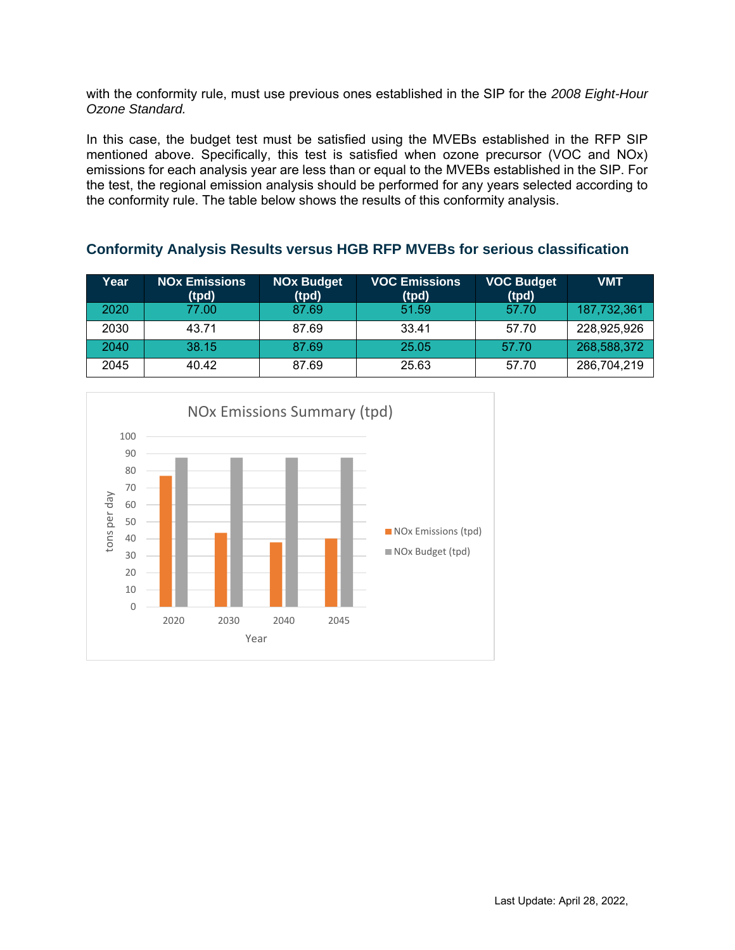with the conformity rule, must use previous ones established in the SIP for the *2008 Eight-Hour Ozone Standard.*

In this case, the budget test must be satisfied using the MVEBs established in the RFP SIP mentioned above. Specifically, this test is satisfied when ozone precursor (VOC and NOx) emissions for each analysis year are less than or equal to the MVEBs established in the SIP. For the test, the regional emission analysis should be performed for any years selected according to the conformity rule. The table below shows the results of this conformity analysis.

| Year | <b>NOx Emissions</b><br>(tpd) | <b>NOx Budget</b><br>(tpd) | <b>VOC Emissions</b><br>(tpd) | <b>VOC Budget</b><br>(tpd) | <b>VMT</b>  |
|------|-------------------------------|----------------------------|-------------------------------|----------------------------|-------------|
| 2020 | 77.00                         | 87.69                      | 51.59                         | 57.70                      | 187,732,361 |
| 2030 | 43.71                         | 87.69                      | 33.41                         | 57.70                      | 228,925,926 |
| 2040 | 38.15                         | 87.69                      | 25.05                         | 57.70                      | 268,588,372 |
| 2045 | 40.42                         | 87.69                      | 25.63                         | 57.70                      | 286,704,219 |